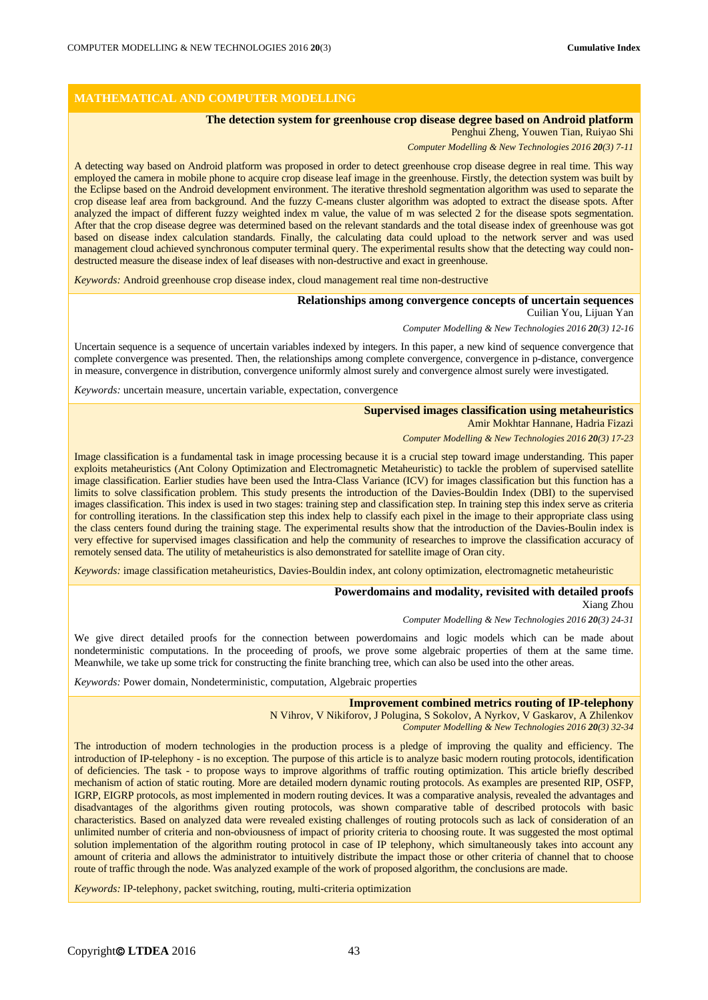# **MATHEMATICAL AND COMPUTER MODELLING**

## **The detection system for greenhouse crop disease degree based on Android platform**

### Penghui Zheng, Youwen Tian, Ruiyao Shi

*Computer Modelling & New Technologies 2016 20(3) 7-11*

A detecting way based on Android platform was proposed in order to detect greenhouse crop disease degree in real time. This way employed the camera in mobile phone to acquire crop disease leaf image in the greenhouse. Firstly, the detection system was built by the Eclipse based on the Android development environment. The iterative threshold segmentation algorithm was used to separate the crop disease leaf area from background. And the fuzzy C-means cluster algorithm was adopted to extract the disease spots. After analyzed the impact of different fuzzy weighted index m value, the value of m was selected 2 for the disease spots segmentation. After that the crop disease degree was determined based on the relevant standards and the total disease index of greenhouse was got based on disease index calculation standards. Finally, the calculating data could upload to the network server and was used management cloud achieved synchronous computer terminal query. The experimental results show that the detecting way could nondestructed measure the disease index of leaf diseases with non-destructive and exact in greenhouse.

*Keywords:* Android greenhouse crop disease index, cloud management real time non-destructive

#### **Relationships among convergence concepts of uncertain sequences**

Cuilian You, Lijuan Yan

*Computer Modelling & New Technologies 2016 20(3) 12-16*

Uncertain sequence is a sequence of uncertain variables indexed by integers. In this paper, a new kind of sequence convergence that complete convergence was presented. Then, the relationships among complete convergence, convergence in p-distance, convergence in measure, convergence in distribution, convergence uniformly almost surely and convergence almost surely were investigated.

*Keywords:* uncertain measure, uncertain variable, expectation, convergence

# **Supervised images classification using metaheuristics**

Amir Mokhtar Hannane, Hadria Fizazi

*Computer Modelling & New Technologies 2016 20(3) 17-23*

Image classification is a fundamental task in image processing because it is a crucial step toward image understanding. This paper exploits metaheuristics (Ant Colony Optimization and Electromagnetic Metaheuristic) to tackle the problem of supervised satellite image classification. Earlier studies have been used the Intra-Class Variance (ICV) for images classification but this function has a limits to solve classification problem. This study presents the introduction of the Davies-Bouldin Index (DBI) to the supervised images classification. This index is used in two stages: training step and classification step. In training step this index serve as criteria for controlling iterations. In the classification step this index help to classify each pixel in the image to their appropriate class using the class centers found during the training stage. The experimental results show that the introduction of the Davies-Boulin index is very effective for supervised images classification and help the community of researches to improve the classification accuracy of remotely sensed data. The utility of metaheuristics is also demonstrated for satellite image of Oran city.

*Keywords:* image classification metaheuristics, Davies-Bouldin index, ant colony optimization, electromagnetic metaheuristic

#### **Powerdomains and modality, revisited with detailed proofs**

Xiang Zhou

*Computer Modelling & New Technologies 2016 20(3) 24-31*

We give direct detailed proofs for the connection between powerdomains and logic models which can be made about nondeterministic computations. In the proceeding of proofs, we prove some algebraic properties of them at the same time. Meanwhile, we take up some trick for constructing the finite branching tree, which can also be used into the other areas.

*Keywords:* Power domain, Nondeterministic, computation, Algebraic properties

#### **Improvement combined metrics routing of IP-telephony**

N Vihrov, V Nikiforov, J Polugina, S Sokolov, A Nyrkov, V Gaskarov, A Zhilenkov

*Computer Modelling & New Technologies 2016 20(3) 32-34*

The introduction of modern technologies in the production process is a pledge of improving the quality and efficiency. The introduction of IP-telephony - is no exception. The purpose of this article is to analyze basic modern routing protocols, identification of deficiencies. The task - to propose ways to improve algorithms of traffic routing optimization. This article briefly described mechanism of action of static routing. More are detailed modern dynamic routing protocols. As examples are presented RIP, OSFP, IGRP, EIGRP protocols, as most implemented in modern routing devices. It was a comparative analysis, revealed the advantages and disadvantages of the algorithms given routing protocols, was shown comparative table of described protocols with basic characteristics. Based on analyzed data were revealed existing challenges of routing protocols such as lack of consideration of an unlimited number of criteria and non-obviousness of impact of priority criteria to choosing route. It was suggested the most optimal solution implementation of the algorithm routing protocol in case of IP telephony, which simultaneously takes into account any amount of criteria and allows the administrator to intuitively distribute the impact those or other criteria of channel that to choose route of traffic through the node. Was analyzed example of the work of proposed algorithm, the conclusions are made.

*Keywords:* IP-telephony, packet switching, routing, multi-criteria optimization